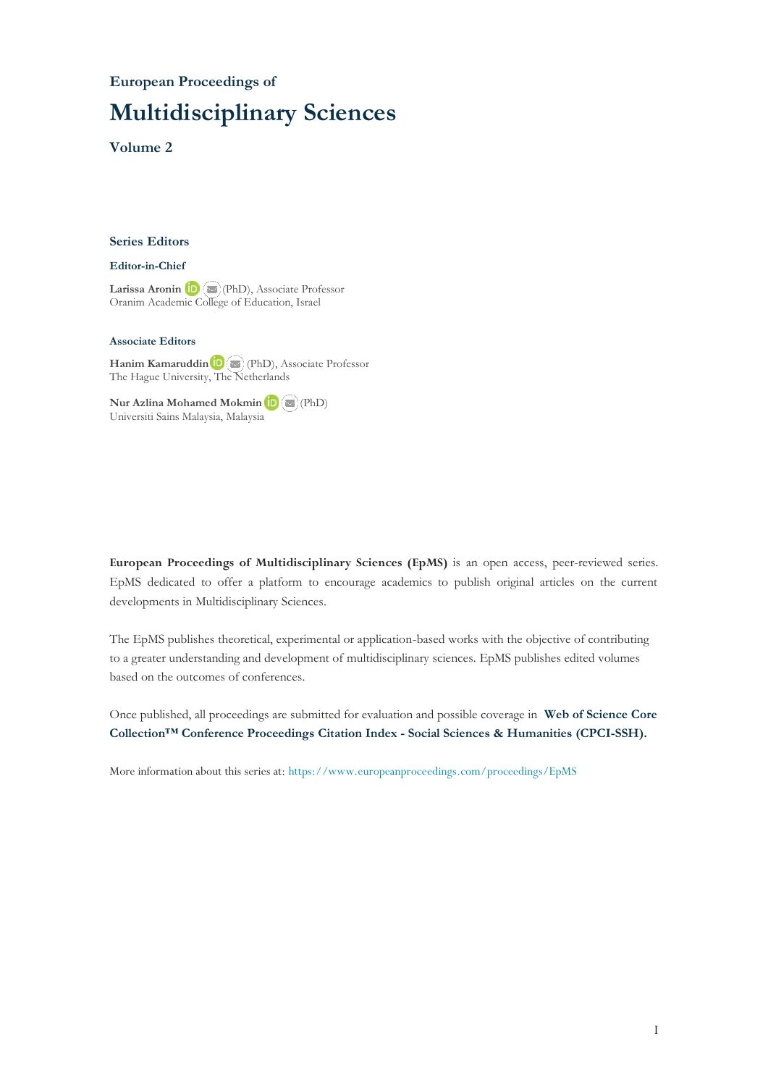#### **European Proceedings of**

## **Multidisciplinary Sciences**

**Volume 2**

#### **Series Editors**

#### **Editor-in-Chief**

Larissa Aronin **D** (PhD), Associate Professor Oranim Academic [Colleg](mailto:larisa@research.haifa.ac.il)e of Education, Israel

#### **Associate Editors**

**Hanim Kamaruddin**(PhD), Associate Professor The Hague University, The [Ne](mailto:hanim@ukm.edu.my)therlands

**Nur Azlina Mohamed Mokmin**(PhD) Universiti Sains Malaysia, Malaysia

**European Proceedings of Multidisciplinary Sciences (EpMS)** is an open access, peer-reviewed series. EpMS dedicated to offer a platform to encourage academics to publish original articles on the current developments in Multidisciplinary Sciences.

The EpMS publishes theoretical, experimental or application-based works with the objective of contributing to a greater understanding and development of multidisciplinary sciences. EpMS publishes edited volumes based on the outcomes of conferences.

Once published, all proceedings are submitted for evaluation and possible coverage in **Web of [Science](https://clarivate.com/webofsciencegroup/solutions/webofscience-cpci/) Core Collection™ Conference Proceedings Citation Index - Social Sciences & Humanities [\(CPCI-SSH\).](https://clarivate.com/webofsciencegroup/solutions/webofscience-cpci/)**

More information about this series at: <https://www.europeanproceedings.com/proceedings/EpMS>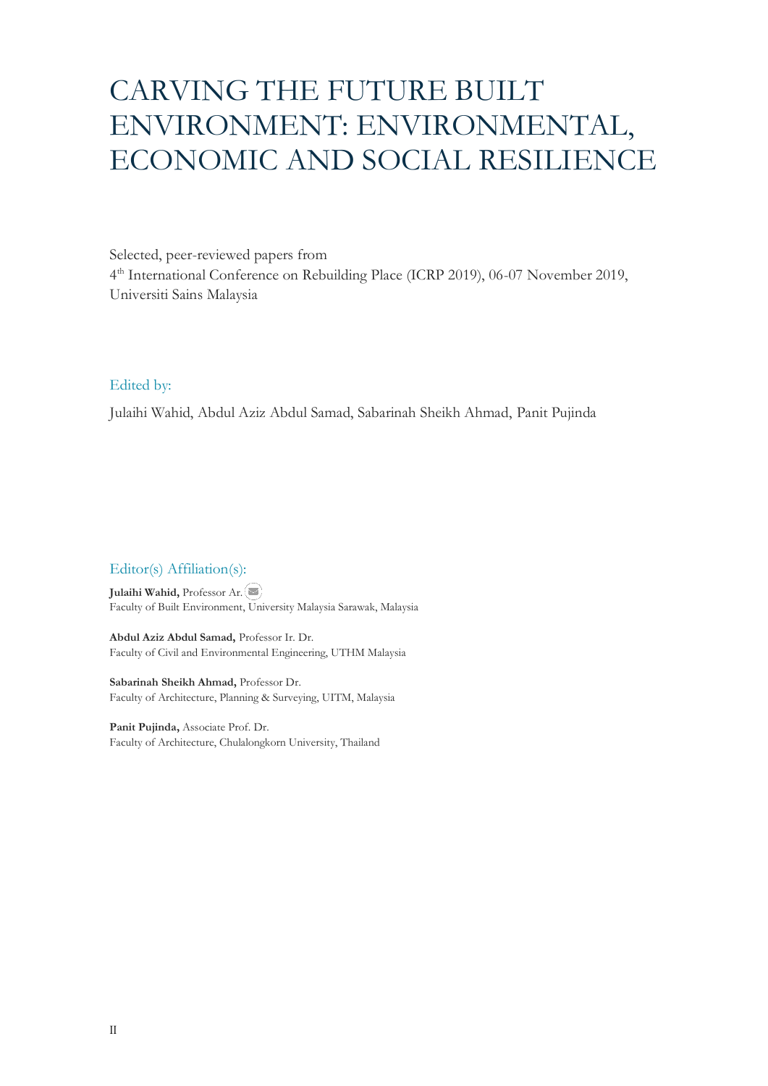# CARVING THE FUTURE BUILT ENVIRONMENT: ENVIRONMENTAL, ECONOMIC AND SOCIAL RESILIENCE

Selected, peer-reviewed papers from 4 th International Conference on Rebuilding Place (ICRP 2019), 06-07 November 2019, Universiti Sains Malaysia

## Edited by:

Julaihi Wahid, Abdul Aziz Abdul Samad, Sabarinah Sheikh Ahmad, Panit Pujinda

#### Editor(s) Affiliation(s):

**Julaihi Wahid,** Professor Ar. Faculty of Built Environment, University Malaysia Sarawak, Malaysia

**Abdul Aziz Abdul Samad,** Professor Ir. Dr. Faculty of Civil and Environmental Engineering, UTHM Malaysia

**Sabarinah Sheikh Ahmad,** Professor Dr. Faculty of Architecture, Planning & Surveying, UITM, Malaysia

**Panit Pujinda,** Associate Prof. Dr. Faculty of Architecture, Chulalongkorn University, Thailand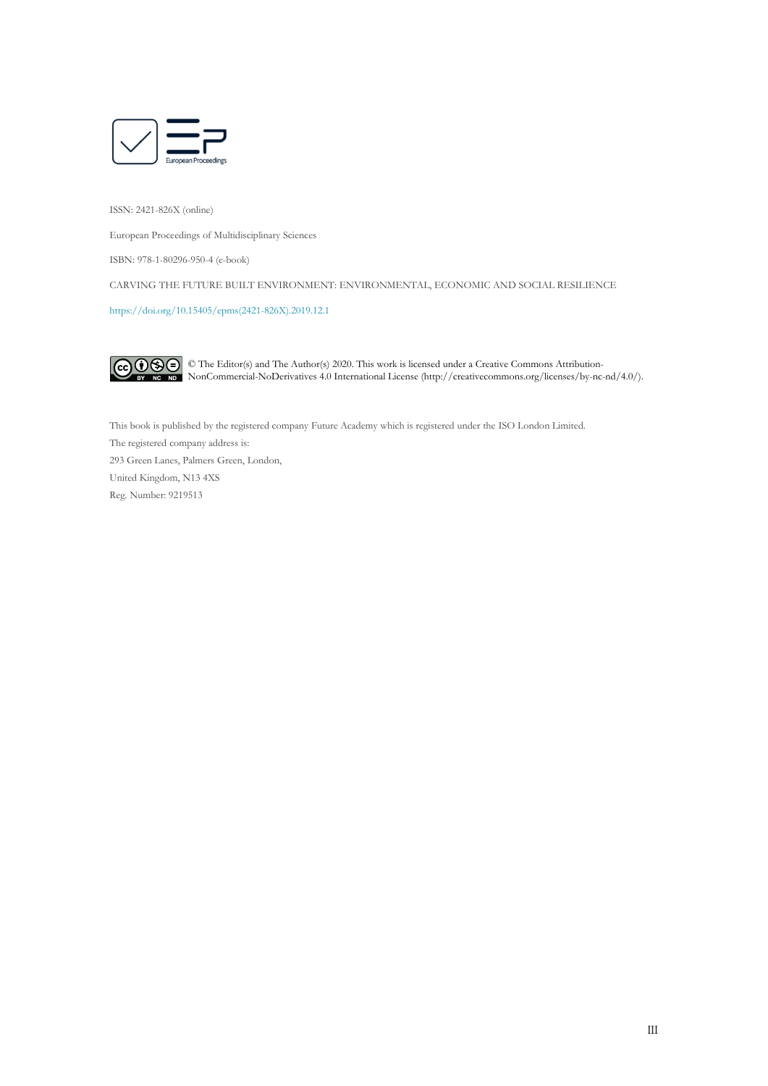

ISSN: 2421-826X (online)

European Proceedings of Multidisciplinary Sciences

ISBN: 978-1-80296-950-4 (e-book)

CARVING THE FUTURE BUILT ENVIRONMENT: ENVIRONMENTAL, ECONOMIC AND SOCIAL RESILIENCE

[https://doi.org/10.15405/epms\(2421-826X\).2019.12.1](https://doi.org/10.15405/epms(2421-826X).2019.12.1) 



© The Editor(s) and The Author(s) 2020. This work is licensed under a Creative Commons Attribution-NonCommercial-NoDerivatives 4.0 International License (http://creativecommons.org/licenses/by-nc-nd/4.0/).

This book is published by the registered company Future Academy which is registered under the ISO London Limited. The registered company address is: 293 Green Lanes, Palmers Green, London, United Kingdom, N13 4XS Reg. Number: 9219513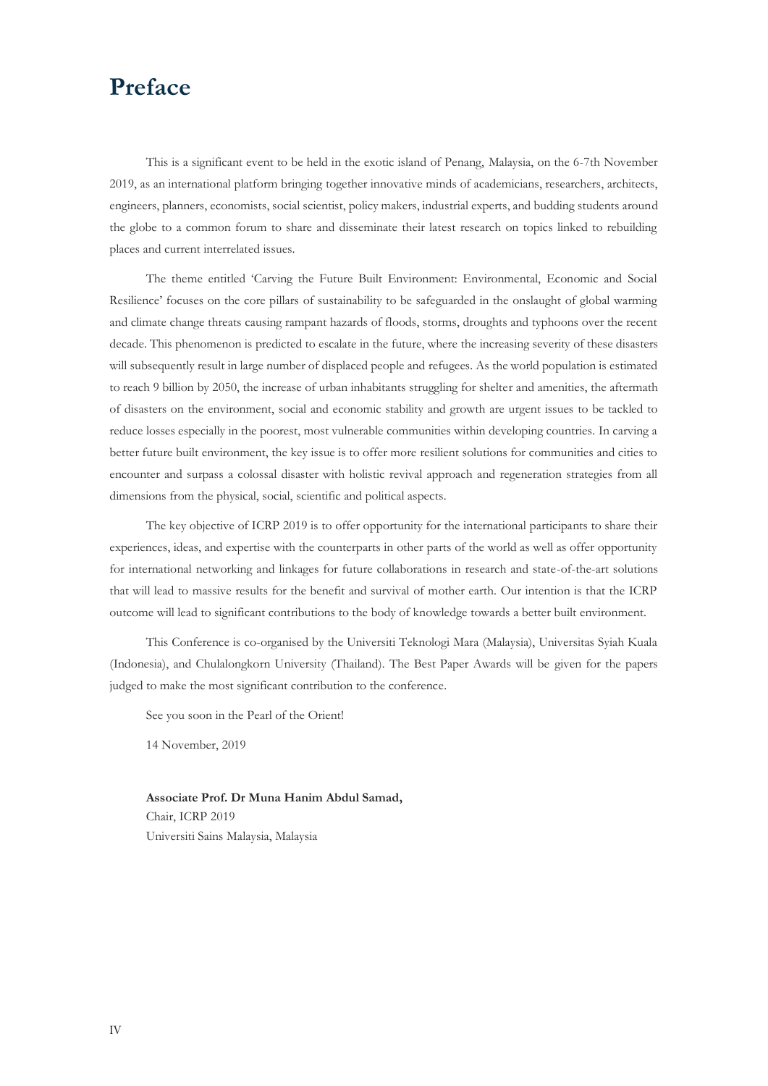## **Preface**

This is a significant event to be held in the exotic island of Penang, Malaysia, on the 6-7th November 2019, as an international platform bringing together innovative minds of academicians, researchers, architects, engineers, planners, economists, social scientist, policy makers, industrial experts, and budding students around the globe to a common forum to share and disseminate their latest research on topics linked to rebuilding places and current interrelated issues.

The theme entitled 'Carving the Future Built Environment: Environmental, Economic and Social Resilience' focuses on the core pillars of sustainability to be safeguarded in the onslaught of global warming and climate change threats causing rampant hazards of floods, storms, droughts and typhoons over the recent decade. This phenomenon is predicted to escalate in the future, where the increasing severity of these disasters will subsequently result in large number of displaced people and refugees. As the world population is estimated to reach 9 billion by 2050, the increase of urban inhabitants struggling for shelter and amenities, the aftermath of disasters on the environment, social and economic stability and growth are urgent issues to be tackled to reduce losses especially in the poorest, most vulnerable communities within developing countries. In carving a better future built environment, the key issue is to offer more resilient solutions for communities and cities to encounter and surpass a colossal disaster with holistic revival approach and regeneration strategies from all dimensions from the physical, social, scientific and political aspects.

The key objective of ICRP 2019 is to offer opportunity for the international participants to share their experiences, ideas, and expertise with the counterparts in other parts of the world as well as offer opportunity for international networking and linkages for future collaborations in research and state-of-the-art solutions that will lead to massive results for the benefit and survival of mother earth. Our intention is that the ICRP outcome will lead to significant contributions to the body of knowledge towards a better built environment.

This Conference is co-organised by the Universiti Teknologi Mara (Malaysia), Universitas Syiah Kuala (Indonesia), and Chulalongkorn University (Thailand). The Best Paper Awards will be given for the papers judged to make the most significant contribution to the conference.

See you soon in the Pearl of the Orient!

14 November, 2019

**Associate Prof. Dr Muna Hanim Abdul Samad,** Chair, ICRP 2019 Universiti Sains Malaysia, Malaysia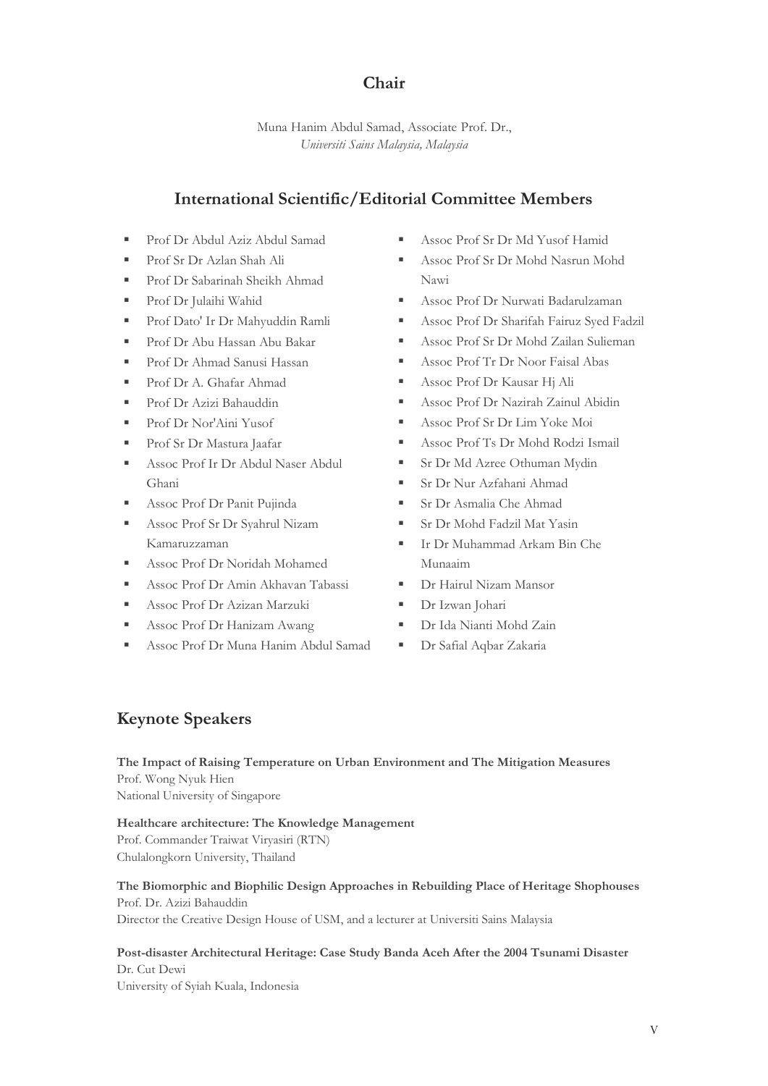## **Chair**

Muna Hanim Abdul Samad, Associate Prof. Dr., *Universiti Sains Malaysia, Malaysia*

## **International Scientific/Editorial Committee Members**

- Prof Dr Abdul Aziz Abdul Samad
- Prof Sr Dr Azlan Shah Ali
- Prof Dr Sabarinah Sheikh Ahmad
- Prof Dr Julaihi Wahid
- Prof Dato' Ir Dr Mahyuddin Ramli
- Prof Dr Abu Hassan Abu Bakar
- Prof Dr Ahmad Sanusi Hassan
- Prof Dr A. Ghafar Ahmad
- Prof Dr Azizi Bahauddin
- Prof Dr Nor'Aini Yusof
- Prof Sr Dr Mastura Jaafar
- Assoc Prof Ir Dr Abdul Naser Abdul Ghani
- **Exercise Prof Dr Panit Pujinda**
- Assoc Prof Sr Dr Syahrul Nizam Kamaruzzaman
- Assoc Prof Dr Noridah Mohamed
- Assoc Prof Dr Amin Akhavan Tabassi
- Assoc Prof Dr Azizan Marzuki
- Assoc Prof Dr Hanizam Awang
- Assoc Prof Dr Muna Hanim Abdul Samad
- Assoc Prof Sr Dr Md Yusof Hamid
- Assoc Prof Sr Dr Mohd Nasrun Mohd Nawi
- Assoc Prof Dr Nurwati Badarulzaman
- **Assoc Prof Dr Sharifah Fairuz Syed Fadzil**
- Assoc Prof Sr Dr Mohd Zailan Sulieman
- **Exercise Prof Tr Dr Noor Faisal Abas**
- **EXECUTE:** Assoc Prof Dr Kausar Hj Ali
- Assoc Prof Dr Nazirah Zainul Abidin
- Assoc Prof Sr Dr Lim Yoke Moi
- Assoc Prof Ts Dr Mohd Rodzi Ismail
- **E** Sr Dr Md Azree Othuman Mydin
- Sr Dr Nur Azfahani Ahmad
- Sr Dr Asmalia Che Ahmad
- Sr Dr Mohd Fadzil Mat Yasin
- **E** Ir Dr Muhammad Arkam Bin Che Munaaim
- Dr Hairul Nizam Mansor
- **Dr Izwan Johari**
- Dr Ida Nianti Mohd Zain
- Dr Safial Aqbar Zakaria

## **Keynote Speakers**

**The Impact of Raising Temperature on Urban Environment and The Mitigation Measures** Prof. Wong Nyuk Hien National University of Singapore

**Healthcare architecture: The Knowledge Management** Prof. Commander Traiwat Viryasiri (RTN) Chulalongkorn University, Thailand

## **The Biomorphic and Biophilic Design Approaches in Rebuilding Place of Heritage Shophouses** Prof. Dr. Azizi Bahauddin Director the Creative Design House of USM, and a lecturer at Universiti Sains Malaysia

## **Post-disaster Architectural Heritage: Case Study Banda Aceh After the 2004 Tsunami Disaster** Dr. Cut Dewi

University of Syiah Kuala, Indonesia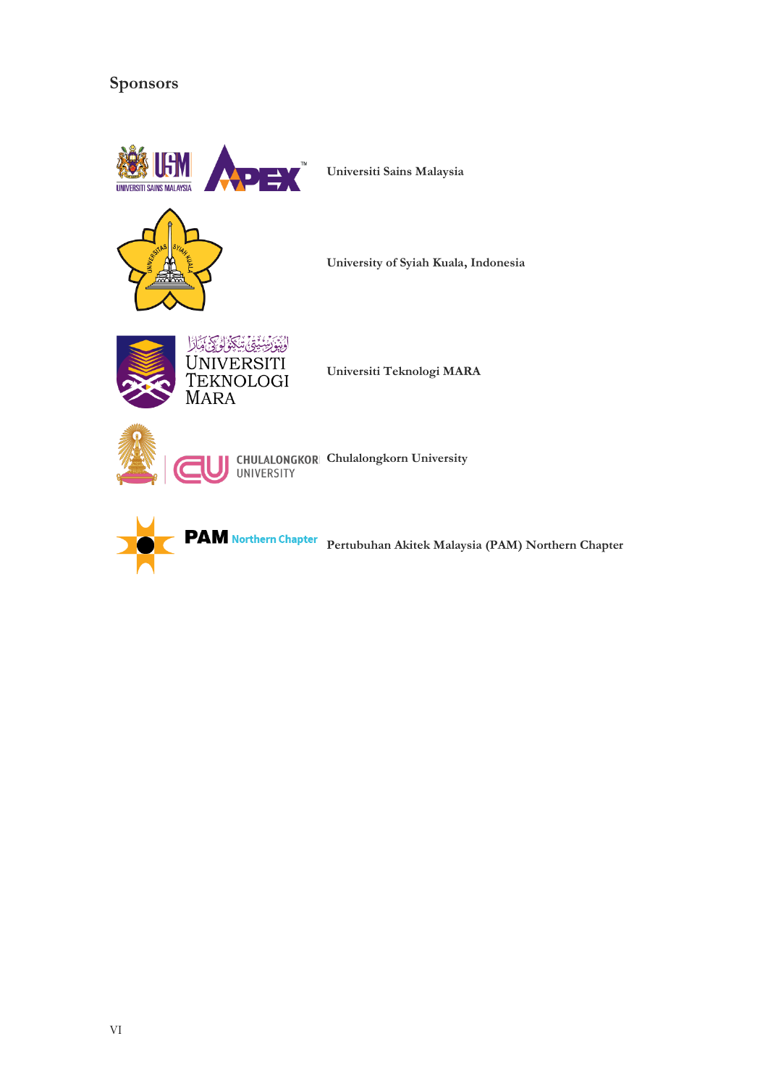## **Sponsors**



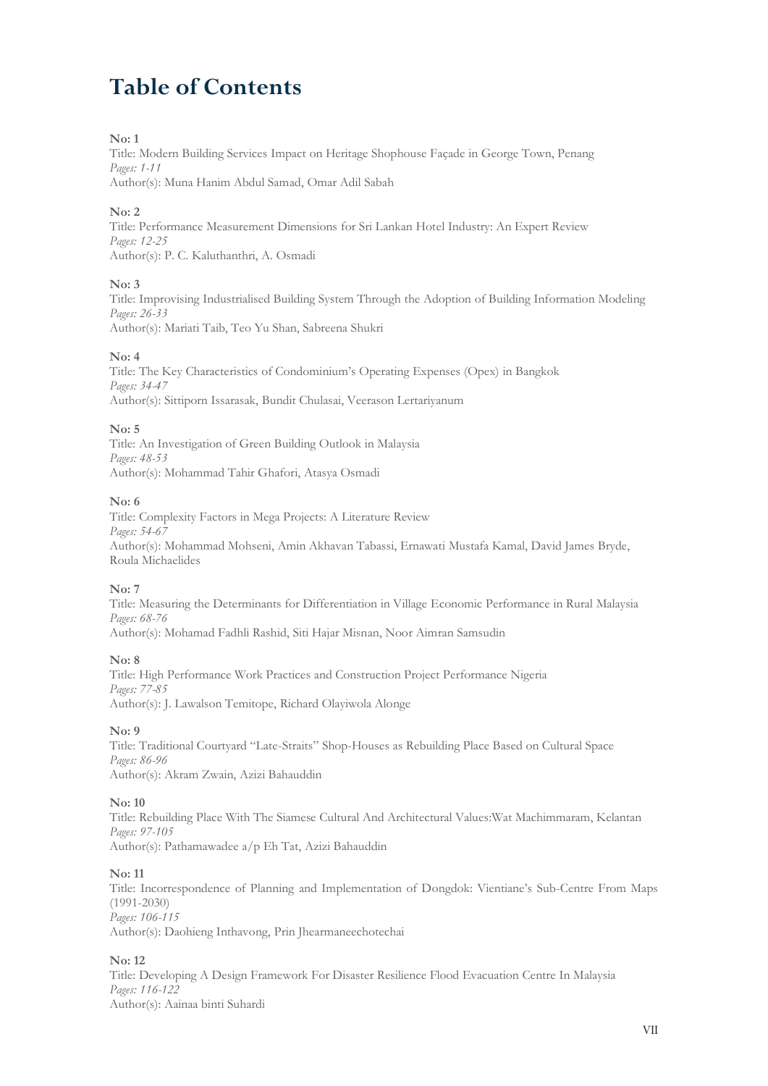## **Table of Contents**

## **No: 1**

Title: Modern Building Services Impact on Heritage Shophouse Façade in George Town, Penang *Pages: 1-11*

Author(s): Muna Hanim Abdul Samad, Omar Adil Sabah

## **No: 2**

Title: Performance Measurement Dimensions for Sri Lankan Hotel Industry: An Expert Review *Pages: 12-25* Author(s): P. C. Kaluthanthri, A. Osmadi

## **No: 3**

Title: Improvising Industrialised Building System Through the Adoption of Building Information Modeling *Pages: 26-33* Author(s): Mariati Taib, Teo Yu Shan, Sabreena Shukri

#### **No: 4**

Title: The Key Characteristics of Condominium's Operating Expenses (Opex) in Bangkok *Pages: 34-47* Author(s): Sittiporn Issarasak, Bundit Chulasai, Veerason Lertariyanum

**No: 5**

Title: An Investigation of Green Building Outlook in Malaysia *Pages: 48-53* Author(s): Mohammad Tahir Ghafori, Atasya Osmadi

## **No: 6**

Title: Complexity Factors in Mega Projects: A Literature Review *Pages: 54-67* Author(s): Mohammad Mohseni, Amin Akhavan Tabassi, Ernawati Mustafa Kamal, David James Bryde, Roula Michaelides

## **No: 7**

Title: Measuring the Determinants for Differentiation in Village Economic Performance in Rural Malaysia *Pages: 68-76* Author(s): Mohamad Fadhli Rashid, Siti Hajar Misnan, Noor Aimran Samsudin

#### **No: 8**

Title: High Performance Work Practices and Construction Project Performance Nigeria *Pages: 77-85* Author(s): J. Lawalson Temitope, Richard Olayiwola Alonge

## **No: 9**

Title: Traditional Courtyard "Late-Straits" Shop-Houses as Rebuilding Place Based on Cultural Space *Pages: 86-96* Author(s): Akram Zwain, Azizi Bahauddin

#### **No: 10**

Title: Rebuilding Place With The Siamese Cultural And Architectural Values:Wat Machimmaram, Kelantan *Pages: 97-105* Author(s): Pathamawadee a/p Eh Tat, Azizi Bahauddin

#### **No: 11**

Title: Incorrespondence of Planning and Implementation of Dongdok: Vientiane's Sub-Centre From Maps (1991-2030) *Pages: 106-115* Author(s): Daohieng Inthavong, Prin Jhearmaneechotechai

## **No: 12**

Title: Developing A Design Framework For Disaster Resilience Flood Evacuation Centre In Malaysia *Pages: 116-122* Author(s): Aainaa binti Suhardi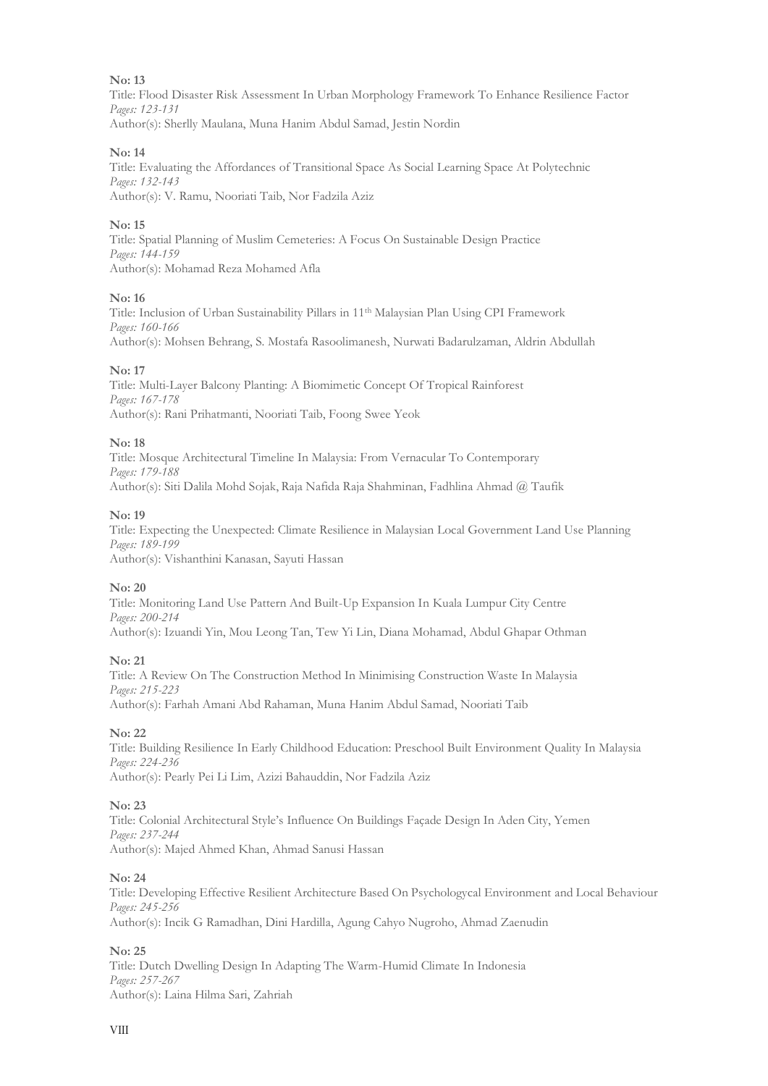Title: Flood Disaster Risk Assessment In Urban Morphology Framework To Enhance Resilience Factor *Pages: 123-131* Author(s): Sherlly Maulana, Muna Hanim Abdul Samad, Jestin Nordin

#### **No: 14**

Title: Evaluating the Affordances of Transitional Space As Social Learning Space At Polytechnic *Pages: 132-143* Author(s): V. Ramu, Nooriati Taib, Nor Fadzila Aziz

## **No: 15**

Title: Spatial Planning of Muslim Cemeteries: A Focus On Sustainable Design Practice *Pages: 144-159* Author(s): Mohamad Reza Mohamed Afla

#### **No: 16**

Title: Inclusion of Urban Sustainability Pillars in 11th Malaysian Plan Using CPI Framework *Pages: 160-166* Author(s): Mohsen Behrang, S. Mostafa Rasoolimanesh, Nurwati Badarulzaman, Aldrin Abdullah

#### **No: 17**

Title: Multi-Layer Balcony Planting: A Biomimetic Concept Of Tropical Rainforest *Pages: 167-178* Author(s): Rani Prihatmanti, Nooriati Taib, Foong Swee Yeok

#### **No: 18**

Title: Mosque Architectural Timeline In Malaysia: From Vernacular To Contemporary *Pages: 179-188* Author(s): Siti Dalila Mohd Sojak, Raja Nafida Raja Shahminan, Fadhlina Ahmad @ Taufik

#### **No: 19**

Title: Expecting the Unexpected: Climate Resilience in Malaysian Local Government Land Use Planning *Pages: 189-199* Author(s): Vishanthini Kanasan, Sayuti Hassan

## **No: 20**

Title: Monitoring Land Use Pattern And Built-Up Expansion In Kuala Lumpur City Centre *Pages: 200-214* Author(s): Izuandi Yin, Mou Leong Tan, Tew Yi Lin, Diana Mohamad, Abdul Ghapar Othman

#### **No: 21**

Title: A Review On The Construction Method In Minimising Construction Waste In Malaysia *Pages: 215-223* Author(s): Farhah Amani Abd Rahaman, Muna Hanim Abdul Samad, Nooriati Taib

#### **No: 22**

Title: Building Resilience In Early Childhood Education: Preschool Built Environment Quality In Malaysia *Pages: 224-236* Author(s): Pearly Pei Li Lim, Azizi Bahauddin, Nor Fadzila Aziz

#### **No: 23**

Title: Colonial Architectural Style's Influence On Buildings Façade Design In Aden City, Yemen *Pages: 237-244* Author(s): Majed Ahmed Khan, Ahmad Sanusi Hassan

#### **No: 24**

Title: Developing Effective Resilient Architecture Based On Psychologycal Environment and Local Behaviour *Pages: 245-256* Author(s): Incik G Ramadhan, Dini Hardilla, Agung Cahyo Nugroho, Ahmad Zaenudin

#### **No: 25**

Title: Dutch Dwelling Design In Adapting The Warm-Humid Climate In Indonesia *Pages: 257-267* Author(s): Laina Hilma Sari, Zahriah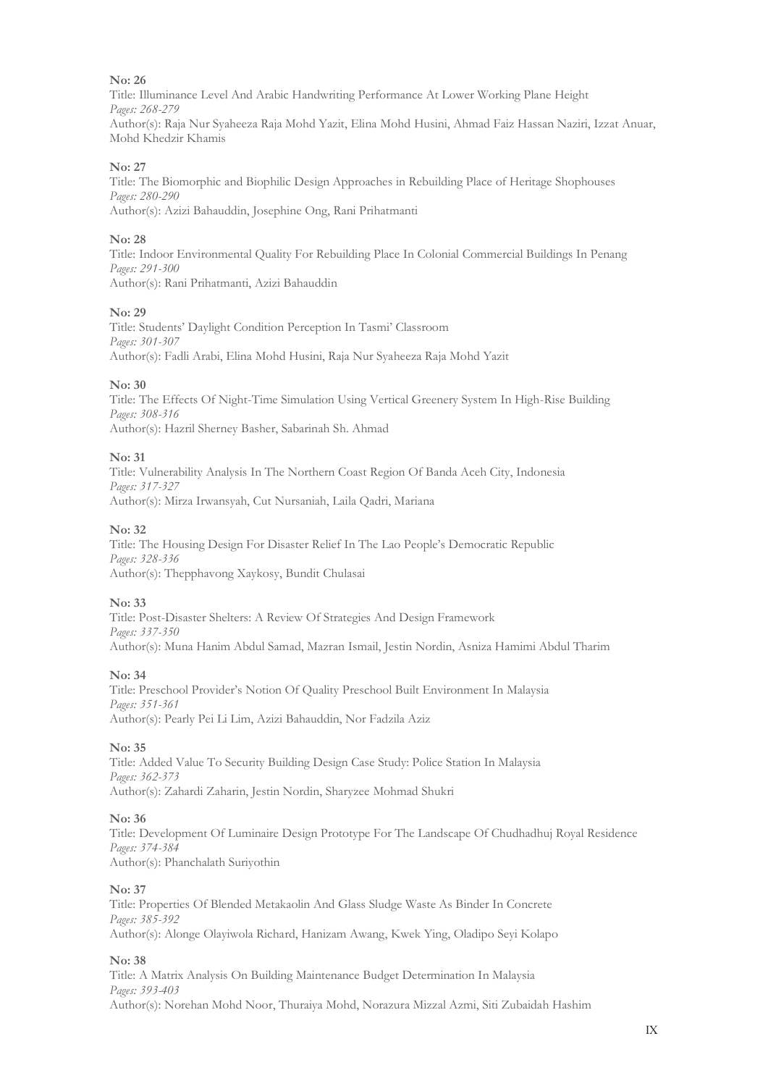Title: Illuminance Level And Arabic Handwriting Performance At Lower Working Plane Height *Pages: 268-279* Author(s): Raja Nur Syaheeza Raja Mohd Yazit, Elina Mohd Husini, Ahmad Faiz Hassan Naziri, Izzat Anuar, Mohd Khedzir Khamis

#### **No: 27**

Title: The Biomorphic and Biophilic Design Approaches in Rebuilding Place of Heritage Shophouses *Pages: 280-290* Author(s): Azizi Bahauddin, Josephine Ong, Rani Prihatmanti

#### **No: 28**

Title: Indoor Environmental Quality For Rebuilding Place In Colonial Commercial Buildings In Penang *Pages: 291-300* Author(s): Rani Prihatmanti, Azizi Bahauddin

#### **No: 29**

Title: Students' Daylight Condition Perception In Tasmi' Classroom *Pages: 301-307* Author(s): Fadli Arabi, Elina Mohd Husini, Raja Nur Syaheeza Raja Mohd Yazit

#### **No: 30**

Title: The Effects Of Night-Time Simulation Using Vertical Greenery System In High-Rise Building *Pages: 308-316* Author(s): Hazril Sherney Basher, Sabarinah Sh. Ahmad

#### **No: 31**

Title: Vulnerability Analysis In The Northern Coast Region Of Banda Aceh City, Indonesia *Pages: 317-327* Author(s): Mirza Irwansyah, Cut Nursaniah, Laila Qadri, Mariana

#### **No: 32**

Title: The Housing Design For Disaster Relief In The Lao People's Democratic Republic *Pages: 328-336* Author(s): Thepphavong Xaykosy, Bundit Chulasai

#### **No: 33**

Title: Post-Disaster Shelters: A Review Of Strategies And Design Framework *Pages: 337-350* Author(s): Muna Hanim Abdul Samad, Mazran Ismail, Jestin Nordin, Asniza Hamimi Abdul Tharim

#### **No: 34**

Title: Preschool Provider's Notion Of Quality Preschool Built Environment In Malaysia *Pages: 351-361* Author(s): Pearly Pei Li Lim, Azizi Bahauddin, Nor Fadzila Aziz

#### **No: 35**

Title: Added Value To Security Building Design Case Study: Police Station In Malaysia *Pages: 362-373* Author(s): Zahardi Zaharin, Jestin Nordin, Sharyzee Mohmad Shukri

#### **No: 36**

Title: Development Of Luminaire Design Prototype For The Landscape Of Chudhadhuj Royal Residence *Pages: 374-384* Author(s): Phanchalath Suriyothin

#### **No: 37**

Title: Properties Of Blended Metakaolin And Glass Sludge Waste As Binder In Concrete *Pages: 385-392* Author(s): Alonge Olayiwola Richard, Hanizam Awang, Kwek Ying, Oladipo Seyi Kolapo

#### **No: 38**

Title: A Matrix Analysis On Building Maintenance Budget Determination In Malaysia *Pages: 393-403* Author(s): Norehan Mohd Noor, Thuraiya Mohd, Norazura Mizzal Azmi, Siti Zubaidah Hashim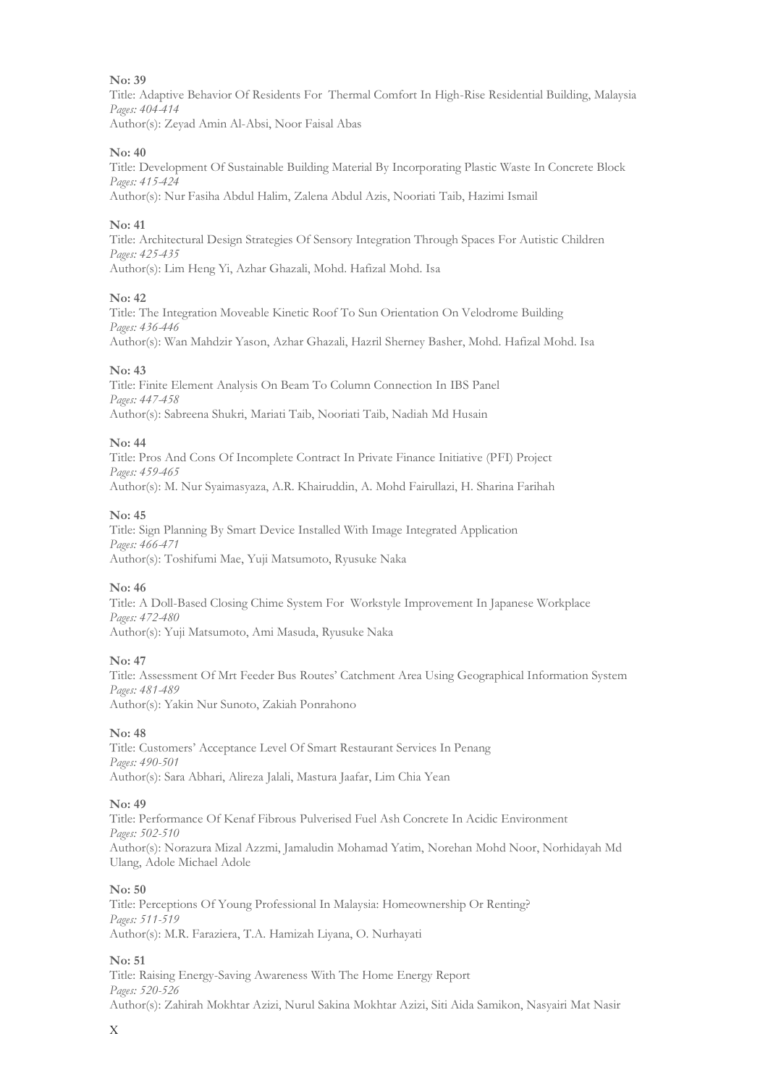Title: Adaptive Behavior Of Residents For Thermal Comfort In High-Rise Residential Building, Malaysia *Pages: 404-414* Author(s): Zeyad Amin Al-Absi, Noor Faisal Abas

#### **No: 40**

Title: Development Of Sustainable Building Material By Incorporating Plastic Waste In Concrete Block *Pages: 415-424* Author(s): Nur Fasiha Abdul Halim, Zalena Abdul Azis, Nooriati Taib, Hazimi Ismail

#### **No: 41**

Title: Architectural Design Strategies Of Sensory Integration Through Spaces For Autistic Children *Pages: 425-435* Author(s): Lim Heng Yi, Azhar Ghazali, Mohd. Hafizal Mohd. Isa

#### **No: 42**

Title: The Integration Moveable Kinetic Roof To Sun Orientation On Velodrome Building *Pages: 436-446* Author(s): Wan Mahdzir Yason, Azhar Ghazali, Hazril Sherney Basher, Mohd. Hafizal Mohd. Isa

#### **No: 43**

Title: Finite Element Analysis On Beam To Column Connection In IBS Panel *Pages: 447-458* Author(s): Sabreena Shukri, Mariati Taib, Nooriati Taib, Nadiah Md Husain

#### **No: 44**

Title: Pros And Cons Of Incomplete Contract In Private Finance Initiative (PFI) Project *Pages: 459-465* Author(s): M. Nur Syaimasyaza, A.R. Khairuddin, A. Mohd Fairullazi, H. Sharina Farihah

#### **No: 45**

Title: Sign Planning By Smart Device Installed With Image Integrated Application *Pages: 466-471* Author(s): Toshifumi Mae, Yuji Matsumoto, Ryusuke Naka

#### **No: 46**

Title: A Doll-Based Closing Chime System For Workstyle Improvement In Japanese Workplace *Pages: 472-480* Author(s): Yuji Matsumoto, Ami Masuda, Ryusuke Naka

#### **No: 47**

Title: Assessment Of Mrt Feeder Bus Routes' Catchment Area Using Geographical Information System *Pages: 481-489* Author(s): Yakin Nur Sunoto, Zakiah Ponrahono

#### **No: 48**

Title: Customers' Acceptance Level Of Smart Restaurant Services In Penang *Pages: 490-501* Author(s): Sara Abhari, Alireza Jalali, Mastura Jaafar, Lim Chia Yean

#### **No: 49**

Title: Performance Of Kenaf Fibrous Pulverised Fuel Ash Concrete In Acidic Environment *Pages: 502-510* Author(s): Norazura Mizal Azzmi, Jamaludin Mohamad Yatim, Norehan Mohd Noor, Norhidayah Md Ulang, Adole Michael Adole

#### **No: 50**

Title: Perceptions Of Young Professional In Malaysia: Homeownership Or Renting? *Pages: 511-519* Author(s): M.R. Faraziera, T.A. Hamizah Liyana, O. Nurhayati

#### **No: 51**

Title: Raising Energy-Saving Awareness With The Home Energy Report *Pages: 520-526* Author(s): Zahirah Mokhtar Azizi, Nurul Sakina Mokhtar Azizi, Siti Aida Samikon, Nasyairi Mat Nasir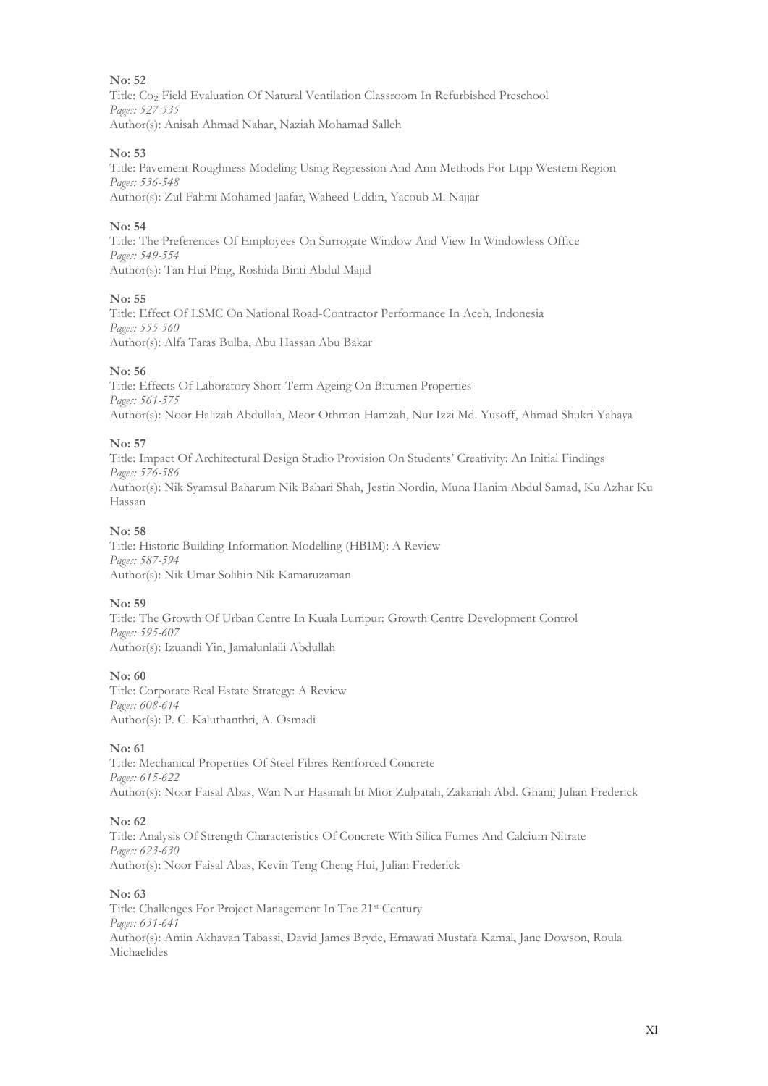Title: Co₂ Field Evaluation Of Natural Ventilation Classroom In Refurbished Preschool *Pages: 527-535* Author(s): Anisah Ahmad Nahar, Naziah Mohamad Salleh

#### **No: 53**

Title: Pavement Roughness Modeling Using Regression And Ann Methods For Ltpp Western Region *Pages: 536-548* Author(s): Zul Fahmi Mohamed Jaafar, Waheed Uddin, Yacoub M. Najjar

#### **No: 54**

Title: The Preferences Of Employees On Surrogate Window And View In Windowless Office *Pages: 549-554* Author(s): Tan Hui Ping, Roshida Binti Abdul Majid

#### **No: 55**

Title: Effect Of LSMC On National Road-Contractor Performance In Aceh, Indonesia *Pages: 555-560* Author(s): Alfa Taras Bulba, Abu Hassan Abu Bakar

#### **No: 56**

Title: Effects Of Laboratory Short-Term Ageing On Bitumen Properties *Pages: 561-575* Author(s): Noor Halizah Abdullah, Meor Othman Hamzah, Nur Izzi Md. Yusoff, Ahmad Shukri Yahaya

#### **No: 57**

Title: Impact Of Architectural Design Studio Provision On Students' Creativity: An Initial Findings *Pages: 576-586* Author(s): Nik Syamsul Baharum Nik Bahari Shah, Jestin Nordin, Muna Hanim Abdul Samad, Ku Azhar Ku Hassan

#### **No: 58**

Title: Historic Building Information Modelling (HBIM): A Review *Pages: 587-594* Author(s): Nik Umar Solihin Nik Kamaruzaman

#### **No: 59**

Title: The Growth Of Urban Centre In Kuala Lumpur: Growth Centre Development Control *Pages: 595-607* Author(s): Izuandi Yin, Jamalunlaili Abdullah

#### **No: 60**

Title: Corporate Real Estate Strategy: A Review *Pages: 608-614* Author(s): P. C. Kaluthanthri, A. Osmadi

#### **No: 61**

Title: Mechanical Properties Of Steel Fibres Reinforced Concrete *Pages: 615-622* Author(s): Noor Faisal Abas, Wan Nur Hasanah bt Mior Zulpatah, Zakariah Abd. Ghani, Julian Frederick

#### **No: 62**

Title: Analysis Of Strength Characteristics Of Concrete With Silica Fumes And Calcium Nitrate *Pages: 623-630* Author(s): Noor Faisal Abas, Kevin Teng Cheng Hui, Julian Frederick

#### **No: 63**

Title: Challenges For Project Management In The 21st Century *Pages: 631-641* Author(s): Amin Akhavan Tabassi, David James Bryde, Ernawati Mustafa Kamal, Jane Dowson, Roula Michaelides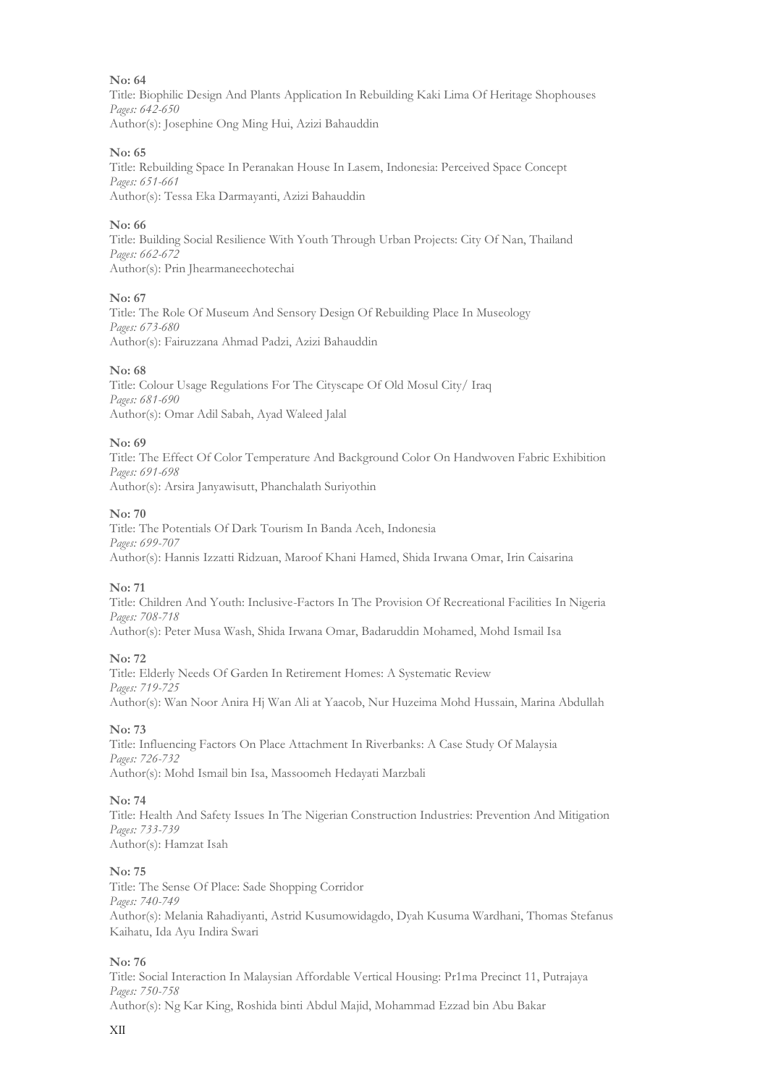Title: Biophilic Design And Plants Application In Rebuilding Kaki Lima Of Heritage Shophouses *Pages: 642-650* Author(s): Josephine Ong Ming Hui, Azizi Bahauddin

#### **No: 65**

Title: Rebuilding Space In Peranakan House In Lasem, Indonesia: Perceived Space Concept *Pages: 651-661* Author(s): Tessa Eka Darmayanti, Azizi Bahauddin

## **No: 66**

Title: Building Social Resilience With Youth Through Urban Projects: City Of Nan, Thailand *Pages: 662-672* Author(s): Prin Jhearmaneechotechai

#### **No: 67**

Title: The Role Of Museum And Sensory Design Of Rebuilding Place In Museology *Pages: 673-680* Author(s): Fairuzzana Ahmad Padzi, Azizi Bahauddin

#### **No: 68**

Title: Colour Usage Regulations For The Cityscape Of Old Mosul City/ Iraq *Pages: 681-690* Author(s): Omar Adil Sabah, Ayad Waleed Jalal

#### **No: 69**

Title: The Effect Of Color Temperature And Background Color On Handwoven Fabric Exhibition *Pages: 691-698* Author(s): Arsira Janyawisutt, Phanchalath Suriyothin

#### **No: 70**

Title: The Potentials Of Dark Tourism In Banda Aceh, Indonesia *Pages: 699-707* Author(s): Hannis Izzatti Ridzuan, Maroof Khani Hamed, Shida Irwana Omar, Irin Caisarina

## **No: 71**

Title: Children And Youth: Inclusive-Factors In The Provision Of Recreational Facilities In Nigeria *Pages: 708-718*

Author(s): Peter Musa Wash, Shida Irwana Omar, Badaruddin Mohamed, Mohd Ismail Isa

## **No: 72**

Title: Elderly Needs Of Garden In Retirement Homes: A Systematic Review *Pages: 719-725* Author(s): Wan Noor Anira Hj Wan Ali at Yaacob, Nur Huzeima Mohd Hussain, Marina Abdullah

#### **No: 73**

Title: Influencing Factors On Place Attachment In Riverbanks: A Case Study Of Malaysia *Pages: 726-732* Author(s): Mohd Ismail bin Isa, Massoomeh Hedayati Marzbali

#### **No: 74**

Title: Health And Safety Issues In The Nigerian Construction Industries: Prevention And Mitigation *Pages: 733-739* Author(s): Hamzat Isah

#### **No: 75**

Title: The Sense Of Place: Sade Shopping Corridor *Pages: 740-749* Author(s): Melania Rahadiyanti, Astrid Kusumowidagdo, Dyah Kusuma Wardhani, Thomas Stefanus Kaihatu, Ida Ayu Indira Swari

#### **No: 76**

Title: Social Interaction In Malaysian Affordable Vertical Housing: Pr1ma Precinct 11, Putrajaya *Pages: 750-758* Author(s): Ng Kar King, Roshida binti Abdul Majid, Mohammad Ezzad bin Abu Bakar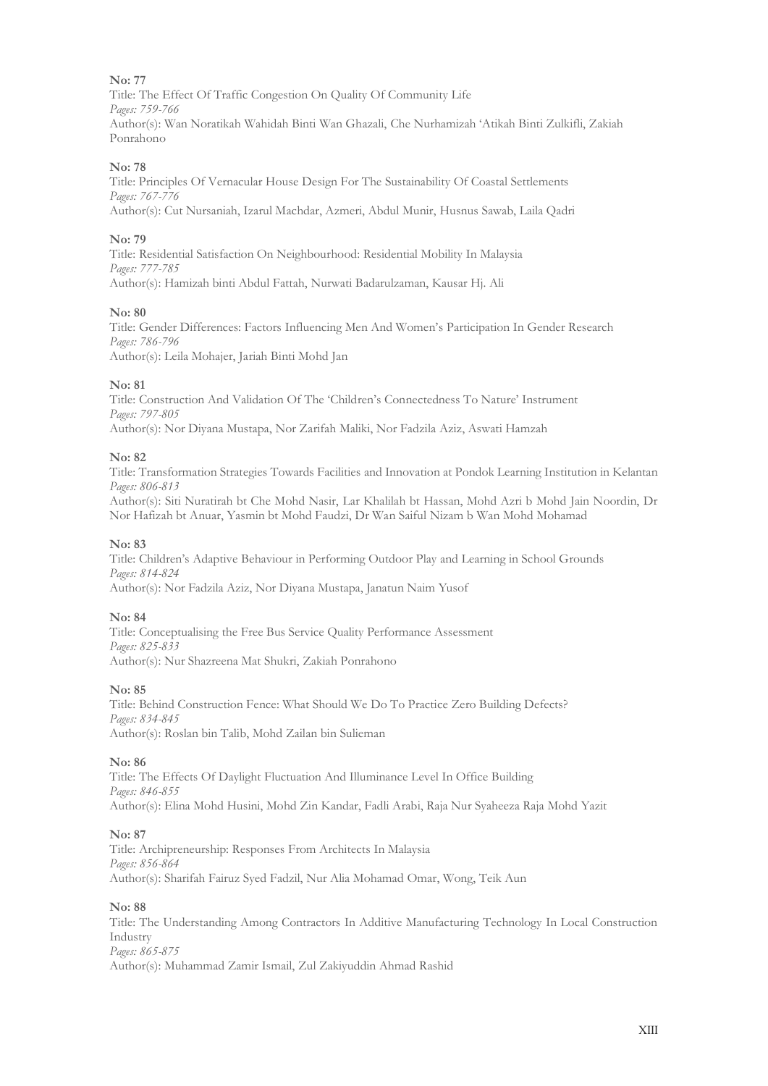Title: The Effect Of Traffic Congestion On Quality Of Community Life *Pages: 759-766* Author(s): Wan Noratikah Wahidah Binti Wan Ghazali, Che Nurhamizah 'Atikah Binti Zulkifli, Zakiah Ponrahono

#### **No: 78**

Title: Principles Of Vernacular House Design For The Sustainability Of Coastal Settlements *Pages: 767-776* Author(s): Cut Nursaniah, Izarul Machdar, Azmeri, Abdul Munir, Husnus Sawab, Laila Qadri

#### **No: 79**

Title: Residential Satisfaction On Neighbourhood: Residential Mobility In Malaysia *Pages: 777-785* Author(s): Hamizah binti Abdul Fattah, Nurwati Badarulzaman, Kausar Hj. Ali

#### **No: 80**

Title: Gender Differences: Factors Influencing Men And Women's Participation In Gender Research *Pages: 786-796* Author(s): Leila Mohajer, Jariah Binti Mohd Jan

#### **No: 81**

Title: Construction And Validation Of The 'Children's Connectedness To Nature' Instrument *Pages: 797-805* Author(s): Nor Diyana Mustapa, Nor Zarifah Maliki, Nor Fadzila Aziz, Aswati Hamzah

#### **No: 82**

Title: Transformation Strategies Towards Facilities and Innovation at Pondok Learning Institution in Kelantan *Pages: 806-813*

Author(s): Siti Nuratirah bt Che Mohd Nasir, Lar Khalilah bt Hassan, Mohd Azri b Mohd Jain Noordin, Dr Nor Hafizah bt Anuar, Yasmin bt Mohd Faudzi, Dr Wan Saiful Nizam b Wan Mohd Mohamad

#### **No: 83**

Title: Children's Adaptive Behaviour in Performing Outdoor Play and Learning in School Grounds *Pages: 814-824* Author(s): Nor Fadzila Aziz, Nor Diyana Mustapa, Janatun Naim Yusof

#### **No: 84**

Title: Conceptualising the Free Bus Service Quality Performance Assessment *Pages: 825-833* Author(s): Nur Shazreena Mat Shukri, Zakiah Ponrahono

#### **No: 85**

Title: Behind Construction Fence: What Should We Do To Practice Zero Building Defects? *Pages: 834-845* Author(s): Roslan bin Talib, Mohd Zailan bin Sulieman

#### **No: 86**

Title: The Effects Of Daylight Fluctuation And Illuminance Level In Office Building *Pages: 846-855* Author(s): Elina Mohd Husini, Mohd Zin Kandar, Fadli Arabi, Raja Nur Syaheeza Raja Mohd Yazit

#### **No: 87**

Title: Archipreneurship: Responses From Architects In Malaysia *Pages: 856-864* Author(s): Sharifah Fairuz Syed Fadzil, Nur Alia Mohamad Omar, Wong, Teik Aun

#### **No: 88**

Title: The Understanding Among Contractors In Additive Manufacturing Technology In Local Construction Industry *Pages: 865-875* Author(s): Muhammad Zamir Ismail, Zul Zakiyuddin Ahmad Rashid